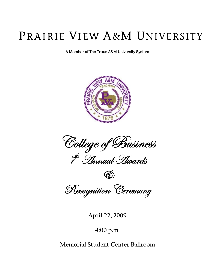# PRAIRIE VIEW A&M UNIVERSITY

A Member of The Texas A&M University System



College of Business <sup>th</sup> *Finnual Hwards* 



Recognition Ceremony

**April 22, 2009** 

**4:00 p.m.** 

**Memorial Student Center Ballroom**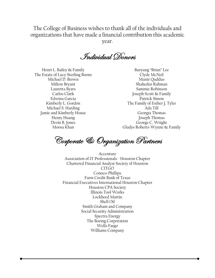The College of Business wishes to thank all of the individuals and organizations that have made a financial contribution this academic year.

 $\mathscr I$ ndividual Donores

Henri L. Bailey & Family The Estate of Lucy Sterling Boone Michael D. Brown Milton Bryant Lauretta Byars Carlos Clark Edwina Garcia Kimberly L. Gordon Michael S. Harding Jamie and Kimberly House Henry Huang Devin B. Jones Moosa Khan

Buryung "Brian" Lee Clyde McNeil Munir Quddus Shahedur Rahman Sammie Robinson Joseph Scott & Family Patrick Simon The Family of Esther J. Tyler Ada Till Georgia Thomas Joseph Thomas George C. Wright Gladys Roberts-Wynne & Family

Corporate & Organization Partners

Accenture Association of IT Professionals - Houston Chapter Chartered Financial Analyst Society of Houston CITGO Conoco-Phillips Farm Credit Bank of Texas Financial Executives International Houston Chapter Houston CPA Society Illinois Tool Works Lockheed Martin Shell Oil Smith Graham and Company Social Security Administration Spectra Energy The Boeing Corporation Wells Fargo Williams Company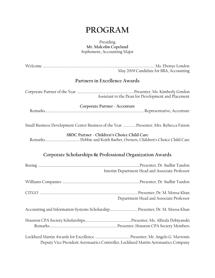## **PROGRAM**

#### Presiding **Mr. Malcolm Copeland**  Sophomore, Accounting Major

|                                                                                                                                       | May 2009 Candidate for BBA, Accounting                                            |  |
|---------------------------------------------------------------------------------------------------------------------------------------|-----------------------------------------------------------------------------------|--|
| Partners in Excellence Awards                                                                                                         |                                                                                   |  |
|                                                                                                                                       | Assistant to the Dean for Development and Placement                               |  |
| Corporate Partner - Accenture                                                                                                         |                                                                                   |  |
|                                                                                                                                       |                                                                                   |  |
| Small Business Development Center Business of the Year  Presenter, Mrs. Rebecca Faison<br>SBDC Partner - Children's Choice Child Care |                                                                                   |  |
|                                                                                                                                       |                                                                                   |  |
| Corporate Scholarships & Professional Organization Awards                                                                             |                                                                                   |  |
|                                                                                                                                       | Interim Department Head and Associate Professor                                   |  |
|                                                                                                                                       |                                                                                   |  |
|                                                                                                                                       | Department Head and Associate Professor                                           |  |
| Accounting and Information Systems Scholarship  Presenter, Dr. M. Moosa Khan                                                          |                                                                                   |  |
|                                                                                                                                       |                                                                                   |  |
|                                                                                                                                       | Deputy Vice President Aeronautics Controller, Lockheed Martin Aeronautics Company |  |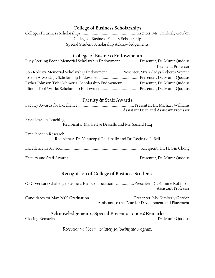#### **College of Business Scholarships**

College of Business Scholarships ......................................................... Presenter, Ms. Kimberly Gordon College of Business Faculty Scholarship Special Student Scholarship Acknowledgements

#### **College of Business Endowments**

| Lucy Sterling Boone Memorial Scholarship Endowment  Presenter, Dr. Munir Quddus  |                    |
|----------------------------------------------------------------------------------|--------------------|
|                                                                                  | Dean and Professor |
| Bob Roberts Memorial Scholarship Endowment Presenter, Mrs. Gladys Roberts Wynne  |                    |
|                                                                                  |                    |
| Esther Johnson Tyler Memorial Scholarship Endowment  Presenter, Dr. Munir Quddus |                    |
|                                                                                  |                    |

#### **Faculty & Staff Awards**

|                                                                | Assistant Dean and Assistant Professor |
|----------------------------------------------------------------|----------------------------------------|
| Recipients: Ms. Bettye Desselle and Mr. Sanzid Haq             |                                        |
|                                                                |                                        |
| Recipients: Dr. Venugopal Balijepally and Dr. Reginald L. Bell |                                        |
|                                                                |                                        |
|                                                                |                                        |

#### **Recognition of College of Business Students**

| OFC Venture Challenge Business Plan Competition  Presenter, Dr. Sammie Robinson<br>Assistant Professor                                                                                                                                                                                                                                                                                                                                                                                     |
|--------------------------------------------------------------------------------------------------------------------------------------------------------------------------------------------------------------------------------------------------------------------------------------------------------------------------------------------------------------------------------------------------------------------------------------------------------------------------------------------|
| Assistant to the Dean for Development and Placement                                                                                                                                                                                                                                                                                                                                                                                                                                        |
| $\blacksquare$ $\blacksquare$ $\blacksquare$ $\blacksquare$ $\blacksquare$ $\blacksquare$ $\blacksquare$ $\blacksquare$ $\blacksquare$ $\blacksquare$ $\blacksquare$ $\blacksquare$ $\blacksquare$ $\blacksquare$ $\blacksquare$ $\blacksquare$ $\blacksquare$ $\blacksquare$ $\blacksquare$ $\blacksquare$ $\blacksquare$ $\blacksquare$ $\blacksquare$ $\blacksquare$ $\blacksquare$ $\blacksquare$ $\blacksquare$ $\blacksquare$ $\blacksquare$ $\blacksquare$ $\blacksquare$ $\blacks$ |

#### **Acknowledgements, Special Presentations & Remarks**  Closing Remarks ................................................................................................................. Dr. Munir Quddus

*Reception will be immediately following the program.*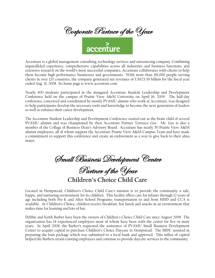

Accenture is a global management consulting, technology services and outsourcing company. Combining unparalleled experience, comprehensive capabilities across all industries and business functions, and extensive research on the world's most successful companies, Accenture collaborates with clients to help them become high-performance businesses and governments. With more than 181,000 people serving clients in over 120 countries, the company generated net revenues of US\$23.39 billion for the fiscal year ended Aug. 31, 2008. Its home page is www.accenture.com.

Nearly 400 students participated in the inaugural Accenture Student Leadership and Development Conference held on the campus of Prairie View A&M University on April 16, 2009. The half-day conference, conceived and coordinated by mostly PVAMU alumni who work at Accenture, was designed to help participants develop the necessary tools and knowledge to become the next generation of leaders as well as enhance their career development.

The Accenture Student Leadership and Development Conference started out as the brain child of several PVAMU alumni and was championed by then Accenture Partner Terrence Gee. Mr. Gee is also a member of the College of Business Dean's Advisory Board. Accenture has nearly 50 Prairie View A&M alumni employees, all of whom support the Accenture Prairie View A&M Campus Team and have made a commitment to support this conference and create an endowment as a way to give back to their alma mater.

Small Business Development Center Partner of the Year

**Children's Choice Child Care** 

Located in Hempstead, Children's Choice Child Care's mission is to provide the community a safe, happy, and nurturing environment for its children. This facility offers care for infants through 12 years of age including both Pre-K and After School Programs; transportation to and from HISD and CCA is available. At Children's Choice, children receive breakfast, hot lunch and snacks in an environment that makes time for learning and lots of fun.

Debbie and Keith Barber have been the owners of Children's Choice Child Care since August 2008. The organization has 14 experienced employees most of whom have been with the center for five or more years. In April 2008, the Barber's requested the assistance of PVAMU Small Business Development Center to acquire capital to purchase Children's Choice Daycare in Hempstead. The SBDC assisted in preparing the loan package which was submitted to a local bank and approved. This influx of capital helped the Barbers retain existing employees and continue to provide daycare services to the community.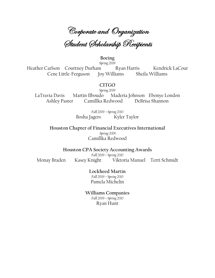Corporate and Organization<br>Student (Scholarship Recipients

#### Boeing

Spring 2009 Heather Carlson Courtney Durham Kendrick LaCour Ryan Harris Joy Williams Cene Little-Ferguson Sheila Williams

#### **CITGO**

Spring 2009 LaTravia Davis Martin Ilboudo Maderia Johnson Ebonye London Camillka Redwood **Ashley Paster** DeBrisa Shannon

> Fall 2009 - Spring 2010 Kyler Taylor Bosha Jagers

Houston Chapter of Financial Executives International Spring 2009 Camillka Redwood

**Houston CPA Society Accounting Awards** Fall 2009 - Spring 2010 Monay Braden Kasey Knight Viktoria Manuel Terri Schmidt

> Lockheed Martin Fall 2009 - Spring 2010 Pamela Michelin

### **Williams Companies**

Fall 2009 - Spring 2010 Ryan Hunt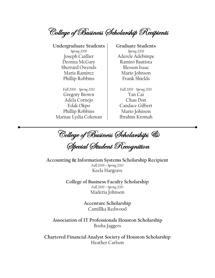College of Business (Scholarship Recipients

**Undergraduate Students Graduate Students**  *Spring 2009 Spring 2009*  Joseph Cuillier Aderele Adebimpe Deonna McGary | Ramiro Bautista Sherrard Owends Blesson Isaac Maria Ramirez Mario Johnson Phillip Robbins | Frank Shields

*Fall 2009 - Spring 2010 Fall 2009 - Spring 2010*  Gregory Brown Yan Cai Adela Cornejo Chau Don Phillip Robbins (Mario Johnson Marnae Lydia Coleman Ibrahim Kromah

Edak Okpo (Candace Gilbert

College of Business (Scholarships & .<br>Dipecial Student Recognition

**Accounting & Information Systems Scholarship Recipient**  *Fall 2009 – Spring 2010*  Keela Hargrave

> **College of Business Faculty Scholarship**  *Fall 2009 – Spring 2010*  Maderia Johnson

> > **Accenture Scholarship**  Camillka Redwood

**Association of IT Professionals Houston Scholarship**  Bosha Jaggers

**Chartered Financial Analyst Society of Houston Scholarship** Heather Carlson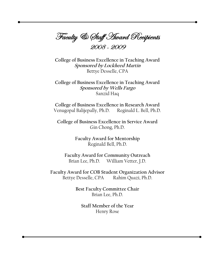Faculty & Staff Hward Recipients

College of Business Excellence in Teaching Award **Sponsored by Lockheed Martin** Bettye Desselle, CPA

College of Business Excellence in Teaching Award Sponsored by Wells Fargo Sanzid Haq

College of Business Excellence in Research Award Venugopal Balijepally, Ph.D. Reginald L. Bell, Ph.D.

College of Business Excellence in Service Award Gin Chong, Ph.D.

> **Faculty Award for Mentorship** Reginald Bell, Ph.D.

Faculty Award for Community Outreach Brian Lee, Ph.D. William Vetter, J.D.

Faculty Award for COB Student Organization Advisor Rahim Quazi, Ph.D. Bettye Desselle, CPA

> Best Faculty Committee Chair Brian Lee, Ph.D.

Staff Member of the Year Henry Rose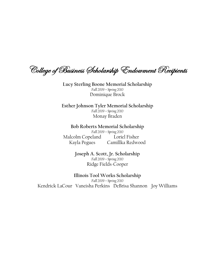College of Business (Scholarship 'Endowment Recipients

Lucy Sterling Boone Memorial Scholarship Fall 2009 - Spring 2010 Dominique Brock

Esther Johnson Tyler Memorial Scholarship Fall 2009 - Spring 2010 Monay Braden

Bob Roberts Memorial Scholarship Fall 2009 - Spring 2010 Malcolm Copeland Loriel Fisher Camillka Redwood Kayla Pegues

> Joseph A. Scott, Jr. Scholarship Fall 2009 - Spring 2010 Ridge Fields-Cooper

Illinois Tool Works Scholarship Fall 2009 - Spring 2010 Kendrick LaCour Vaneisha Perkins DeBrisa Shannon Joy Williams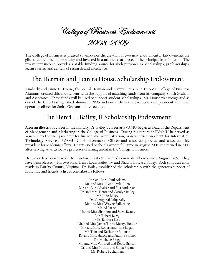College of Business Endowments 2009

The College of Business is pleased to announce the creation of two new endowments. Endowments are gifts that are held in perpetuity and invested in a manner that protects the principal from inflation. The investment income provides a stable funding source for such purposes as scholarships, professorships, lecture series, and centers of research and excellence.

## **The Herman and Juanita House Scholarship Endowment**

Kimberly and Jamie G. House, the son of Herman and Juanita House and PVAMU College of Business Alumnus, created this endowment with the support of matching funds from his company Smith Graham and Associates. These funds will be used to support student scholarships. Mr. House was recognized as one of the COB Distinguished alumni in 2005 and currently is the executive vice president and chief operating officer for Smith Graham and Associates.

## **The Henri L. Bailey, II Scholarship Endowment**

After an illustrious career in the military, Dr. Bailey's career at PVAMU began as head of the Department of Management and Marketing in the College of Business. During his tenure at PVAMU he served as assistant to the vice president for finance and administration, assistant vice president for Information Technology Services, PVAMU Chief Information Officer and associate provost and associate vice president for academic affairs. He returned to the classroom full-time in August 2004 and retired in 2008 after serving as an associate professor of management in the College of Business.

Dr. Bailey has been married to Carolyn Elizabeth Ladd of Pensacola, Florida since August 1969. They have been blessed with two sons: Henri Louis Bailey, IV and Shawn Howard Bailey. Both sons currently reside in Fairfax County, Virginia. Dr. Bailey established the scholarship with the generous support of his family and friends; a list of contributors follows.

> Mr. and Mrs. Paul Adams Mr. and Mrs. BJ and Lytle Allen Mr. and Mrs. Walter and Ella Anderson Dr. and Mrs. Henri and Carolyn Bailey Mr. John Bailey Dr. Venugopal Balijepally Mr. and Mrs. Wayne Ballentine Mr. Al Barnes Mr.and Mrs. Shannon and Steve Beatty Mr. Robert Berry Mrs. Barbara Betz Mr. and Mrs. James T. and Mattye Boddie Mr. and Mrs. Robert and Irma Bogan Mr. Tom and Katherine Bollman Dr. and Mrs. Harold and Pauline Bonner Dr. Michelle Bragg Mr. and Mrs. Winfred and Debra Britton Dr. and Mrs. Milton and Sonia Bryant Mr. Robert Buchannan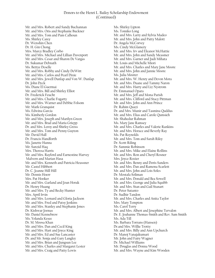Mr. and Mrs. Robert and Sandy Buchannan Mr. and Mrs. Oris and Stephanie Buckner Mr. and Mrs. Tom and Pam Calhoun Ms. Shirley Carey Dr. Wenshin Chen Dr. H. Gin Chong Mrs. Marcy Bradley Corbo Mr. and Mrs. Michael and Lillian Davenport Mr. and Mrs. Cesar and Sharon De Vargas Dr. Sukumar Debnath Ms. Bettye Deselle Mr. and Mrs. Robby and Cindy DeWitt Mr. and Mrs. Carlos and Pearl Dixie Mr. and Mrs. Jewell Dunlap and Von W. Dunlap Dr. John Dyck Ms. Diane El Guermai Mr. and Mrs. Bill and Shirley Elliot Dr. Frederick Feucht Mr. and Mrs. Charlie Fogarty Mr. and Mrs. Warner and Debbie Folsom Mr. Mark Granquist Ms. Edwina Garcia Ms. Kimberly Gordon Mr. and Mrs. Joseph and Marilyn Green Mr. and Mrs. Brad and Maria Griepp Dr. and Mrs. Leroy and Shirley Gross Mr. and Mrs. Tom and Penny Guyton Mr. David Hall Dr. Francis Handforth Ms. Janette Hanna Mr. Sanzid Haq Mrs. Theresa Harris Mr. and Mrs. Rayford and Earnestine Harvey Malvern and Marian Hasa Mr. and Mrs. Kenneth and Patricia Heussner Mr. Castel Hibbert Dr. C. Jeanne Hill Hill Mr. Dennis Hoerr Mrs. Pat Hooker Mr. and Mrs. Garland and Joan Horak Dr. Henry Huang Mr. and Mrs. Ty and Becky Hunter Mrs. April Irvin Mr. and Mrs. Leonard and Gloria Jackson Mr. and Mrs. Fred and Patsy Jenkins Mr. and Mrs. Stanley and Stephanie Jones Dr. Kishwar Joonas Mr. Daniel Kennebrew Ms. Yolanda Kesee Dr. M. Moosa Khan Mr. and Mrs. Dan and Cecil King Mr. and Mrs. Hart and Joyce King Mr. and Mrs. Ed and Sue Lancaster Dr. and Mr. Sonja and Gary Langley Mr. and Mrs. Brian and Jungsun Lee Mr. and Mrs. Charles and Margaret Lester Mr. and Mrs. Craig and Patty Lewis

Ms. Shirley Lipton Ms. Tomiko Long Mr. and Mrs. Larry and Sylvia Madeo Mr. and Mrs. John and Patty Malott Dr. Angela McCorvey Ms. Cindy McGlamery Mr. and Mrs. Irv and Eleanor McHattie Mr. and Mrs. John and Sandy Measmer Mr. and Mrs. Garner and Judi Mihata Mr. Louis and Michelle Miori Mr. and Mrs. Charles and Mary Jane Moore Mr. and Mrs. John and Jannie Moore Ms. Julia Moorer Mr. and Mrs. W. Henry and Devon Mora Mr. and Mrs. Duane and Tammy Naron Mr. and Mrs. Harry and Liz Nystrom Dr. Emmanuel Opara Mr. and Mrs. Jeff and Mona Parish Mr. and Mrs. Clifford and Stacy Pittman Mr. and Mrs. John and Ann Prince Dr. Rahim Quazi Dr. and Mrs. Munir and Tasmina Quddus Mr. and Mrs. Elias and Carole Qumsieh Mr. Shahedur Rahman Ms. Mary Jane Ramsey Mr. and Mrs. Charles and Valerie Rankins Mr. and Mrs. Horace and Beverly Ray Ms. Pat Reynolds Mr. and Mrs. Tom and Sarah Riley Dr. Scott Riling Dr. Sammie Robinson Mr. and Mrs. Mike and Elaine Rollins Mr. and Mrs. Ron and Cheryl Rosner Mrs. Joyce Rozier Mr. and Mrs. Benny and Doris Sanders Mr. and Mrs. Dan and Ramona Scarlett Mr. and Mrs. John and Lois Soles Dr. Mostafa Soliman Mr. and Mrs. Donald and Bea Sowell Mr. and Mrs. George and Julia Squibb Mr. and Mrs. Stan and Gail Stanart Dr. Peter Sutanto Dr. Sudhir Tandon Mr. and Mrs. Charles and Anita Taylor Mrs. Mary Tempton Ms. Carol Terry Mr. and Mrs. Albert and Josephine Tervalon Dr. E. Joahanne Thomas-Smith and Rev. Sam Smith Ms. Ada Till Ms. Barbara Torrans (Hansen) Dr.and Mrs. Willie Trotty Mr. and Mrs. Billy and Ann Upchurch Dr. Manoj Vanajakumari Mr. John and Fairy Wagner Dr. Michael Williams Mr. Douglas and Donna Wood Mr. and Mrs. Wayne and Kim Wooden